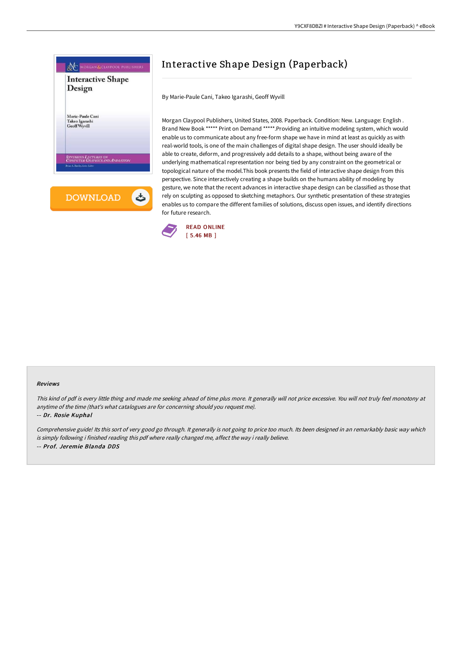

# Interactive Shape Design (Paperback)

By Marie-Paule Cani, Takeo Igarashi, Geoff Wyvill

Morgan Claypool Publishers, United States, 2008. Paperback. Condition: New. Language: English . Brand New Book \*\*\*\*\* Print on Demand \*\*\*\*\*.Providing an intuitive modeling system, which would enable us to communicate about any free-form shape we have in mind at least as quickly as with real-world tools, is one of the main challenges of digital shape design. The user should ideally be able to create, deform, and progressively add details to a shape, without being aware of the underlying mathematical representation nor being tied by any constraint on the geometrical or topological nature of the model.This book presents the field of interactive shape design from this perspective. Since interactively creating a shape builds on the humans ability of modeling by gesture, we note that the recent advances in interactive shape design can be classified as those that rely on sculpting as opposed to sketching metaphors. Our synthetic presentation of these strategies enables us to compare the different families of solutions, discuss open issues, and identify directions for future research.



#### Reviews

This kind of pdf is every little thing and made me seeking ahead of time plus more. It generally will not price excessive. You will not truly feel monotony at anytime of the time (that's what catalogues are for concerning should you request me).

#### -- Dr. Rosie Kuphal

Comprehensive guide! Its this sort of very good go through. It generally is not going to price too much. Its been designed in an remarkably basic way which is simply following i finished reading this pdf where really changed me, affect the way i really believe. -- Prof. Jeremie Blanda DDS